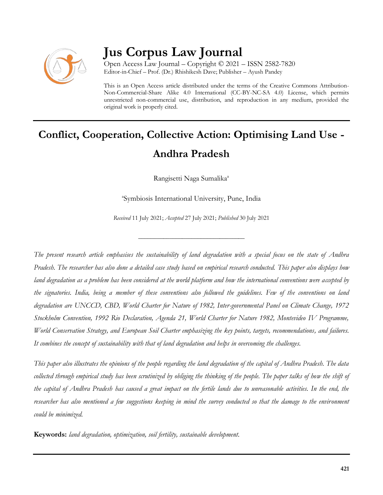

## **Jus Corpus Law Journal**

Open Access Law Journal – Copyright © 2021 – ISSN 2582-7820 Editor-in-Chief – Prof. (Dr.) Rhishikesh Dave; Publisher – Ayush Pandey

This is an Open Access article distributed under the terms of the Creative Commons Attribution-Non-Commercial-Share Alike 4.0 International (CC-BY-NC-SA 4.0) License, which permits unrestricted non-commercial use, distribution, and reproduction in any medium, provided the original work is properly cited.

# **Conflict, Cooperation, Collective Action: Optimising Land Use - Andhra Pradesh**

Rangisetti Naga Sumalika<sup>a</sup>

a Symbiosis International University, Pune, India

*Received* 11 July 2021; *Accepted* 27 July 2021; *Published* 30 July 2021

\_\_\_\_\_\_\_\_\_\_\_\_\_\_\_\_\_\_\_\_\_\_\_\_\_\_\_\_\_\_\_\_\_\_

*The present research article emphasises the sustainability of land degradation with a special focus on the state of Andhra Pradesh. The researcher has also done a detailed case study based on empirical research conducted. This paper also displays how land degradation as a problem has been considered at the world platform and how the international conventions were accepted by the signatories. India, being a member of these conventions also followed the guidelines. Few of the conventions on land degradation are UNCCD, CBD, World Charter for Nature of 1982, Inter-governmental Panel on Climate Change, 1972 Stockholm Convention, 1992 Rio Declaration, Agenda 21, World Charter for Nature 1982, Montevideo IV Programme, World Conservation Strategy, and European Soil Charter emphasizing the key points, targets, recommendations, and failures. It combines the concept of sustainability with that of land degradation and helps in overcoming the challenges.*

*This paper also illustrates the opinions of the people regarding the land degradation of the capital of Andhra Pradesh. The data collected through empirical study has been scrutinized by obliging the thinking of the people. The paper talks of how the shift of the capital of Andhra Pradesh has caused a great impact on the fertile lands due to unreasonable activities. In the end, the researcher has also mentioned a few suggestions keeping in mind the survey conducted so that the damage to the environment could be minimized.*

**Keywords:** *land degradation, optimization, soil fertility, sustainable development.*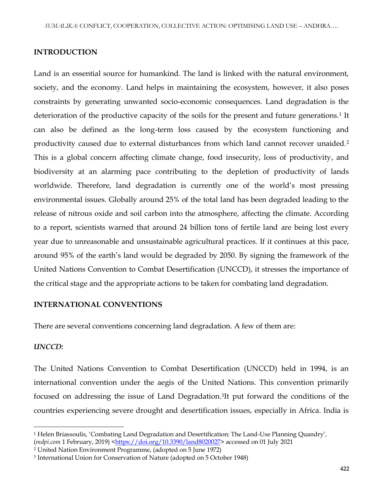#### **INTRODUCTION**

Land is an essential source for humankind. The land is linked with the natural environment, society, and the economy. Land helps in maintaining the ecosystem, however, it also poses constraints by generating unwanted socio-economic consequences. Land degradation is the deterioration of the productive capacity of the soils for the present and future generations.<sup>1</sup> It can also be defined as the long-term loss caused by the ecosystem functioning and productivity caused due to external disturbances from which land cannot recover unaided.<sup>2</sup> This is a global concern affecting climate change, food insecurity, loss of productivity, and biodiversity at an alarming pace contributing to the depletion of productivity of lands worldwide. Therefore, land degradation is currently one of the world's most pressing environmental issues. Globally around 25% of the total land has been degraded leading to the release of nitrous oxide and soil carbon into the atmosphere, affecting the climate. According to a report, scientists warned that around 24 billion tons of fertile land are being lost every year due to unreasonable and unsustainable agricultural practices. If it continues at this pace, around 95% of the earth's land would be degraded by 2050. By signing the framework of the United Nations Convention to Combat Desertification (UNCCD), it stresses the importance of the critical stage and the appropriate actions to be taken for combating land degradation.

#### **INTERNATIONAL CONVENTIONS**

There are several conventions concerning land degradation. A few of them are:

## *UNCCD:*

 $\overline{\phantom{a}}$ 

The United Nations Convention to Combat Desertification (UNCCD) held in 1994, is an international convention under the aegis of the United Nations. This convention primarily focused on addressing the issue of Land Degradation.<sup>3</sup> It put forward the conditions of the countries experiencing severe drought and desertification issues, especially in Africa. India is

<sup>1</sup> Helen Briassoulis, 'Combating Land Degradation and Desertification: The Land-Use Planning Quandry', (*mdpi.com* 1 February, 2019) [<https://doi.org/10.3390/land8020027>](https://doi.org/10.3390/land8020027) accessed on 01 July 2021

<sup>2</sup> United Nation Environment Programme, (adopted on 5 June 1972)

<sup>3</sup> International Union for Conservation of Nature (adopted on 5 October 1948)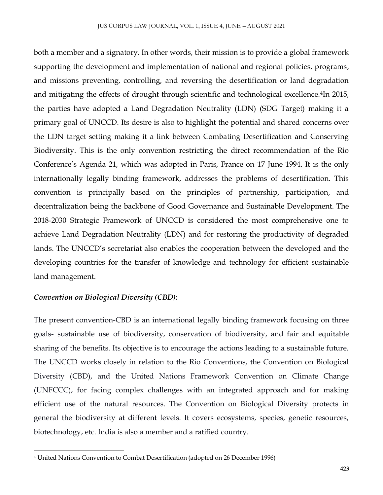both a member and a signatory. In other words, their mission is to provide a global framework supporting the development and implementation of national and regional policies, programs, and missions preventing, controlling, and reversing the desertification or land degradation and mitigating the effects of drought through scientific and technological excellence.<sup>4</sup>In 2015, the parties have adopted a Land Degradation Neutrality (LDN) (SDG Target) making it a primary goal of UNCCD. Its desire is also to highlight the potential and shared concerns over the LDN target setting making it a link between Combating Desertification and Conserving Biodiversity. This is the only convention restricting the direct recommendation of the Rio Conference's Agenda 21, which was adopted in Paris, France on 17 June 1994. It is the only internationally legally binding framework, addresses the problems of desertification. This convention is principally based on the principles of partnership, participation, and decentralization being the backbone of Good Governance and Sustainable Development. The 2018-2030 Strategic Framework of UNCCD is considered the most comprehensive one to achieve Land Degradation Neutrality (LDN) and for restoring the productivity of degraded lands. The UNCCD's secretariat also enables the cooperation between the developed and the developing countries for the transfer of knowledge and technology for efficient sustainable land management.

## *Convention on Biological Diversity (CBD):*

 $\overline{\phantom{a}}$ 

The present convention-CBD is an international legally binding framework focusing on three goals- sustainable use of biodiversity, conservation of biodiversity, and fair and equitable sharing of the benefits. Its objective is to encourage the actions leading to a sustainable future. The UNCCD works closely in relation to the Rio Conventions, the Convention on Biological Diversity (CBD), and the United Nations Framework Convention on Climate Change (UNFCCC), for facing complex challenges with an integrated approach and for making efficient use of the natural resources. The Convention on Biological Diversity protects in general the biodiversity at different levels. It covers ecosystems, species, genetic resources, biotechnology, etc. India is also a member and a ratified country.

<sup>4</sup> United Nations Convention to Combat Desertification (adopted on 26 December 1996)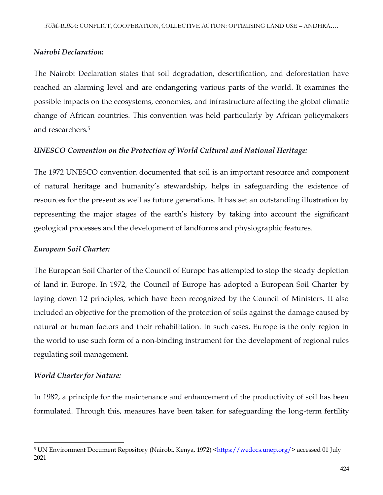#### *Nairobi Declaration:*

The Nairobi Declaration states that soil degradation, desertification, and deforestation have reached an alarming level and are endangering various parts of the world. It examines the possible impacts on the ecosystems, economies, and infrastructure affecting the global climatic change of African countries. This convention was held particularly by African policymakers and researchers.<sup>5</sup>

#### *UNESCO Convention on the Protection of World Cultural and National Heritage:*

The 1972 UNESCO convention documented that soil is an important resource and component of natural heritage and humanity's stewardship, helps in safeguarding the existence of resources for the present as well as future generations. It has set an outstanding illustration by representing the major stages of the earth's history by taking into account the significant geological processes and the development of landforms and physiographic features.

#### *European Soil Charter:*

The European Soil Charter of the Council of Europe has attempted to stop the steady depletion of land in Europe. In 1972, the Council of Europe has adopted a European Soil Charter by laying down 12 principles, which have been recognized by the Council of Ministers. It also included an objective for the promotion of the protection of soils against the damage caused by natural or human factors and their rehabilitation. In such cases, Europe is the only region in the world to use such form of a non-binding instrument for the development of regional rules regulating soil management.

#### *World Charter for Nature:*

 $\overline{\phantom{a}}$ 

In 1982, a principle for the maintenance and enhancement of the productivity of soil has been formulated. Through this, measures have been taken for safeguarding the long-term fertility

<sup>&</sup>lt;sup>5</sup> UN Environment Document Repository (Nairobi, Kenya, 1972) [<https://wedocs.unep.org/>](https://wedocs.unep.org/) accessed 01 July 2021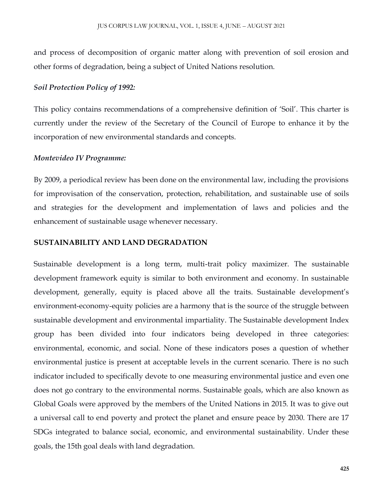and process of decomposition of organic matter along with prevention of soil erosion and other forms of degradation, being a subject of United Nations resolution.

#### *Soil Protection Policy of 1992:*

This policy contains recommendations of a comprehensive definition of 'Soil'. This charter is currently under the review of the Secretary of the Council of Europe to enhance it by the incorporation of new environmental standards and concepts.

#### *Montevideo IV Programme:*

By 2009, a periodical review has been done on the environmental law, including the provisions for improvisation of the conservation, protection, rehabilitation, and sustainable use of soils and strategies for the development and implementation of laws and policies and the enhancement of sustainable usage whenever necessary.

#### **SUSTAINABILITY AND LAND DEGRADATION**

Sustainable development is a long term, multi-trait policy maximizer. The sustainable development framework equity is similar to both environment and economy. In sustainable development, generally, equity is placed above all the traits. Sustainable development's environment-economy-equity policies are a harmony that is the source of the struggle between sustainable development and environmental impartiality. The Sustainable development Index group has been divided into four indicators being developed in three categories: environmental, economic, and social. None of these indicators poses a question of whether environmental justice is present at acceptable levels in the current scenario. There is no such indicator included to specifically devote to one measuring environmental justice and even one does not go contrary to the environmental norms. Sustainable goals, which are also known as Global Goals were approved by the members of the United Nations in 2015. It was to give out a universal call to end poverty and protect the planet and ensure peace by 2030. There are 17 SDGs integrated to balance social, economic, and environmental sustainability. Under these goals, the 15th goal deals with land degradation.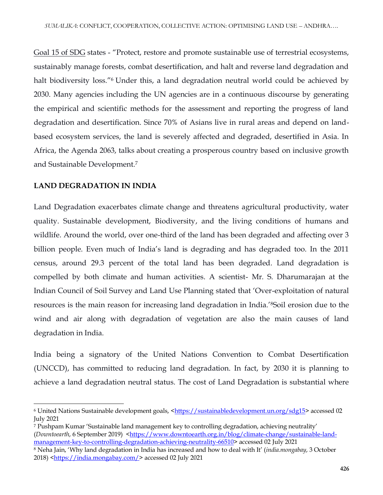Goal 15 of SDG states - "Protect, restore and promote sustainable use of terrestrial ecosystems, sustainably manage forests, combat desertification, and halt and reverse land degradation and halt biodiversity loss."<sup>6</sup> Under this, a land degradation neutral world could be achieved by 2030. Many agencies including the UN agencies are in a continuous discourse by generating the empirical and scientific methods for the assessment and reporting the progress of land degradation and desertification. Since 70% of Asians live in rural areas and depend on landbased ecosystem services, the land is severely affected and degraded, desertified in Asia. In Africa, the Agenda 2063, talks about creating a prosperous country based on inclusive growth and Sustainable Development.<sup>7</sup>

## **LAND DEGRADATION IN INDIA**

Land Degradation exacerbates climate change and threatens agricultural productivity, water quality. Sustainable development, Biodiversity, and the living conditions of humans and wildlife. Around the world, over one-third of the land has been degraded and affecting over 3 billion people. Even much of India's land is degrading and has degraded too. In the 2011 census, around 29.3 percent of the total land has been degraded. Land degradation is compelled by both climate and human activities. A scientist- Mr. S. Dharumarajan at the Indian Council of Soil Survey and Land Use Planning stated that 'Over-exploitation of natural resources is the main reason for increasing land degradation in India.'8Soil erosion due to the wind and air along with degradation of vegetation are also the main causes of land degradation in India.

India being a signatory of the United Nations Convention to Combat Desertification (UNCCD), has committed to reducing land degradation. In fact, by 2030 it is planning to achieve a land degradation neutral status. The cost of Land Degradation is substantial where

 $\overline{a}$ 6 United Nations Sustainable development goals, [<https://sustainabledevelopment.un.org/sdg15>](https://sustainabledevelopment.un.org/sdg15) accessed 02 July 2021

<sup>7</sup> Pushpam Kumar 'Sustainable land management key to controlling degradation, achieving neutrality' (*Downtoearth*, 6 September 2019) [<https://www.downtoearth.org.in/blog/climate-change/sustainable-land](https://www.downtoearth.org.in/blog/climate-change/sustainable-land-management-key-to-controlling-degradation-achieving-neutrality-66510)[management-key-to-controlling-degradation-achieving-neutrality-66510>](https://www.downtoearth.org.in/blog/climate-change/sustainable-land-management-key-to-controlling-degradation-achieving-neutrality-66510) accessed 02 July 2021

<sup>8</sup> Neha Jain, 'Why land degradation in India has increased and how to deal with It' (*india.mongabay*, 3 October 2018) [<https://india.mongabay.com/>](https://india.mongabay.com/) accessed 02 July 2021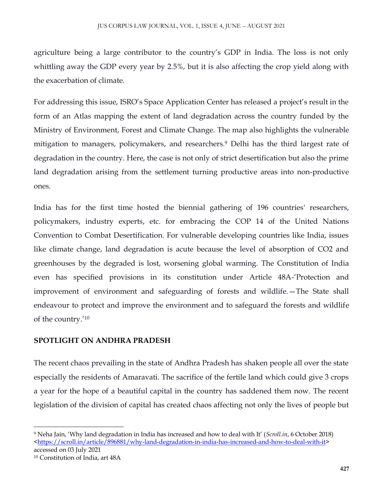agriculture being a large contributor to the country's GDP in India. The loss is not only whittling away the GDP every year by 2.5%, but it is also affecting the crop yield along with the exacerbation of climate.

For addressing this issue, ISRO's Space Application Center has released a project's result in the form of an Atlas mapping the extent of land degradation across the country funded by the Ministry of Environment, Forest and Climate Change. The map also highlights the vulnerable mitigation to managers, policymakers, and researchers.<sup>9</sup> Delhi has the third largest rate of degradation in the country. Here, the case is not only of strict desertification but also the prime land degradation arising from the settlement turning productive areas into non-productive ones.

India has for the first time hosted the biennial gathering of 196 countries' researchers, policymakers, industry experts, etc. for embracing the COP 14 of the United Nations Convention to Combat Desertification. For vulnerable developing countries like India, issues like climate change, land degradation is acute because the level of absorption of CO2 and greenhouses by the degraded is lost, worsening global warming. The Constitution of India even has specified provisions in its constitution under Article 48A-'Protection and improvement of environment and safeguarding of forests and wildlife.—The State shall endeavour to protect and improve the environment and to safeguard the forests and wildlife of the country.'<sup>10</sup>

## **SPOTLIGHT ON ANDHRA PRADESH**

The recent chaos prevailing in the state of Andhra Pradesh has shaken people all over the state especially the residents of Amaravati. The sacrifice of the fertile land which could give 3 crops a year for the hope of a beautiful capital in the country has saddened them now. The recent legislation of the division of capital has created chaos affecting not only the lives of people but

 $\overline{\phantom{a}}$ <sup>9</sup> Neha Jain, 'Why land degradation in India has increased and how to deal with It' (*Scroll.in*, 6 October 2018) [<https://scroll.in/article/896881/why-land-degradation-in-india-has-increased-and-how-to-deal-with-it>](https://scroll.in/article/896881/why-land-degradation-in-india-has-increased-and-how-to-deal-with-it) accessed on 03 July 2021

<sup>10</sup> Constitution of India, art 48A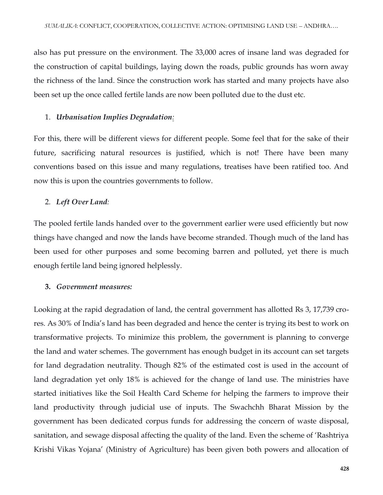also has put pressure on the environment. The 33,000 acres of insane land was degraded for the construction of capital buildings, laying down the roads, public grounds has worn away the richness of the land. Since the construction work has started and many projects have also been set up the once called fertile lands are now been polluted due to the dust etc.

#### 1. *Urbanisation Implies Degradation:*

For this, there will be different views for different people. Some feel that for the sake of their future, sacrificing natural resources is justified, which is not! There have been many conventions based on this issue and many regulations, treatises have been ratified too. And now this is upon the countries governments to follow.

#### 2. *Left Over Land:*

The pooled fertile lands handed over to the government earlier were used efficiently but now things have changed and now the lands have become stranded. Though much of the land has been used for other purposes and some becoming barren and polluted, yet there is much enough fertile land being ignored helplessly.

#### **3.** *Government measures:*

Looking at the rapid degradation of land, the central government has allotted Rs 3, 17,739 crores. As 30% of India's land has been degraded and hence the center is trying its best to work on transformative projects. To minimize this problem, the government is planning to converge the land and water schemes. The government has enough budget in its account can set targets for land degradation neutrality. Though 82% of the estimated cost is used in the account of land degradation yet only 18% is achieved for the change of land use. The ministries have started initiatives like the Soil Health Card Scheme for helping the farmers to improve their land productivity through judicial use of inputs. The Swachchh Bharat Mission by the government has been dedicated corpus funds for addressing the concern of waste disposal, sanitation, and sewage disposal affecting the quality of the land. Even the scheme of 'Rashtriya Krishi Vikas Yojana' (Ministry of Agriculture) has been given both powers and allocation of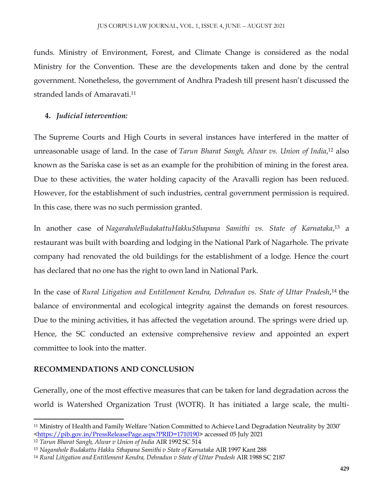funds. Ministry of Environment, Forest, and Climate Change is considered as the nodal Ministry for the Convention. These are the developments taken and done by the central government. Nonetheless, the government of Andhra Pradesh till present hasn't discussed the stranded lands of Amaravati.<sup>11</sup>

### **4.** *Judicial intervention:*

The Supreme Courts and High Courts in several instances have interfered in the matter of unreasonable usage of land. In the case of *Tarun Bharat Sangh, Alwar vs. Union of India*, <sup>12</sup> also known as the Sariska case is set as an example for the prohibition of mining in the forest area. Due to these activities, the water holding capacity of the Aravalli region has been reduced. However, for the establishment of such industries, central government permission is required. In this case, there was no such permission granted.

In another case of *NagaraholeBudakattuHakkuSthapana Samithi vs. State of Karnataka*, <sup>13</sup> a restaurant was built with boarding and lodging in the National Park of Nagarhole. The private company had renovated the old buildings for the establishment of a lodge. Hence the court has declared that no one has the right to own land in National Park.

In the case of *Rural Litigation and Entitlement Kendra, Dehradun vs. State of Uttar Pradesh*, <sup>14</sup> the balance of environmental and ecological integrity against the demands on forest resources. Due to the mining activities, it has affected the vegetation around. The springs were dried up. Hence, the SC conducted an extensive comprehensive review and appointed an expert committee to look into the matter.

## **RECOMMENDATIONS AND CONCLUSION**

Generally, one of the most effective measures that can be taken for land degradation across the world is Watershed Organization Trust (WOTR). It has initiated a large scale, the multi-

 $\overline{a}$ <sup>11</sup> Ministry of Health and Family Welfare 'Nation Committed to Achieve Land Degradation Neutrality by 2030' [<https://pib.gov.in/PressReleasePage.aspx?PRID=1710190>](https://pib.gov.in/PressReleasePage.aspx?PRID=1710190) accessed 05 July 2021

<sup>12</sup> *Tarun Bharat Sangh, Alwar v Union of India* AIR 1992 SC 514

<sup>13</sup> *Nagarahole Budakattu Hakku Sthapana Samithi v State of Karnataka* AIR 1997 Kant 288

<sup>14</sup> *Rural Litigation and Entitlement Kendra, Dehradun v State of Uttar Pradesh* AIR 1988 SC 2187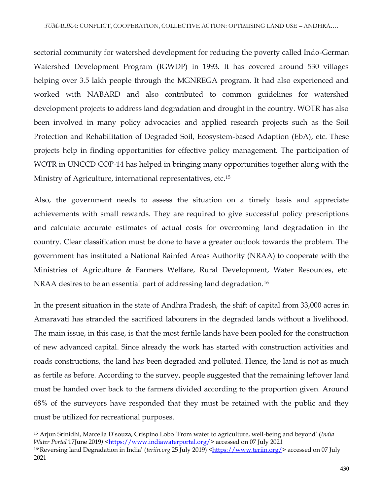sectorial community for watershed development for reducing the poverty called Indo-German Watershed Development Program (IGWDP) in 1993. It has covered around 530 villages helping over 3.5 lakh people through the MGNREGA program. It had also experienced and worked with NABARD and also contributed to common guidelines for watershed development projects to address land degradation and drought in the country. WOTR has also been involved in many policy advocacies and applied research projects such as the Soil Protection and Rehabilitation of Degraded Soil, Ecosystem-based Adaption (EbA), etc. These projects help in finding opportunities for effective policy management. The participation of WOTR in UNCCD COP-14 has helped in bringing many opportunities together along with the Ministry of Agriculture, international representatives, etc.<sup>15</sup>

Also, the government needs to assess the situation on a timely basis and appreciate achievements with small rewards. They are required to give successful policy prescriptions and calculate accurate estimates of actual costs for overcoming land degradation in the country. Clear classification must be done to have a greater outlook towards the problem. The government has instituted a National Rainfed Areas Authority (NRAA) to cooperate with the Ministries of Agriculture & Farmers Welfare, Rural Development, Water Resources, etc. NRAA desires to be an essential part of addressing land degradation.<sup>16</sup>

In the present situation in the state of Andhra Pradesh, the shift of capital from 33,000 acres in Amaravati has stranded the sacrificed labourers in the degraded lands without a livelihood. The main issue, in this case, is that the most fertile lands have been pooled for the construction of new advanced capital. Since already the work has started with construction activities and roads constructions, the land has been degraded and polluted. Hence, the land is not as much as fertile as before. According to the survey, people suggested that the remaining leftover land must be handed over back to the farmers divided according to the proportion given. Around 68% of the surveyors have responded that they must be retained with the public and they must be utilized for recreational purposes.

 $\overline{\phantom{a}}$ 

<sup>15</sup> Arjun Srinidhi, Marcella D'souza, Crispino Lobo 'From water to agriculture, well-being and beyond' (*India Water Portal 17June 2019)* [<https://www.indiawaterportal.org/>](https://www.indiawaterportal.org/) accessed on 07 July 2021

<sup>&</sup>lt;sup>16</sup>'Reversing land Degradation in India' (*teriin.org* 25 July 2019) [<https://www.teriin.org/>](https://www.teriin.org/) accessed on 07 July 2021